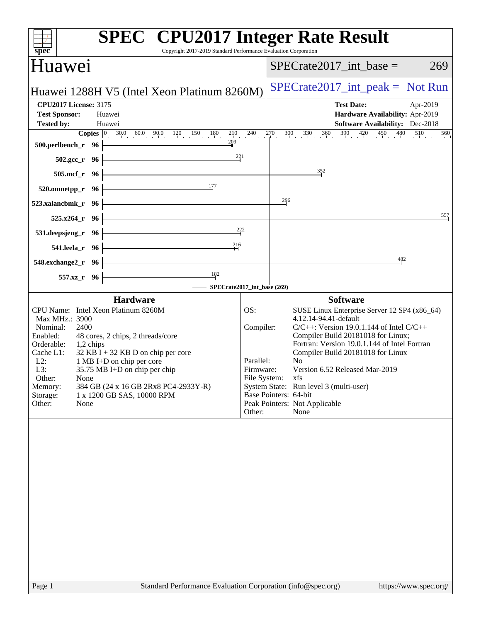| <b>SPEC<sup>®</sup></b> CPU2017 Integer Rate Result<br>spec<br>Copyright 2017-2019 Standard Performance Evaluation Corporation                                                                                                                                                                                                                                                                                                                |                                                      |                                                                                                                                                                                                                                                                                                                                                                                                                                                          |
|-----------------------------------------------------------------------------------------------------------------------------------------------------------------------------------------------------------------------------------------------------------------------------------------------------------------------------------------------------------------------------------------------------------------------------------------------|------------------------------------------------------|----------------------------------------------------------------------------------------------------------------------------------------------------------------------------------------------------------------------------------------------------------------------------------------------------------------------------------------------------------------------------------------------------------------------------------------------------------|
| Huawei                                                                                                                                                                                                                                                                                                                                                                                                                                        |                                                      | $SPECrate2017\_int\_base =$<br>269                                                                                                                                                                                                                                                                                                                                                                                                                       |
| Huawei 1288H V5 (Intel Xeon Platinum 8260M)                                                                                                                                                                                                                                                                                                                                                                                                   |                                                      | $SPECrate2017\_int\_peak = Not Run$                                                                                                                                                                                                                                                                                                                                                                                                                      |
| <b>CPU2017 License: 3175</b><br><b>Test Sponsor:</b><br>Huawei<br><b>Tested by:</b><br>Huawei                                                                                                                                                                                                                                                                                                                                                 |                                                      | <b>Test Date:</b><br>Apr-2019<br>Hardware Availability: Apr-2019<br>Software Availability: Dec-2018<br><b>Copies</b> $\begin{bmatrix} 0 & 30.0 & 60.0 & 90.0 & 120 & 150 & 180 & 210 & 240 & 270 & 300 & 330 & 360 & 390 & 420 & 450 & 480 & 510 & 560 \end{bmatrix}$                                                                                                                                                                                    |
| 209<br>$500.$ perlbench_r 96<br>$\frac{221}{4}$<br>$502.\text{gcc}_r$ 96                                                                                                                                                                                                                                                                                                                                                                      |                                                      |                                                                                                                                                                                                                                                                                                                                                                                                                                                          |
| <u> 1989 - Johann Barn, amerikansk politiker (</u><br>$505.\text{mcf}_r$ 96                                                                                                                                                                                                                                                                                                                                                                   |                                                      | 352                                                                                                                                                                                                                                                                                                                                                                                                                                                      |
| 177<br>520.omnetpp_r 96 $\vdash$                                                                                                                                                                                                                                                                                                                                                                                                              |                                                      |                                                                                                                                                                                                                                                                                                                                                                                                                                                          |
| <u> 1980 - Johann Barn, mars an t-Amerikaansk politiker (</u><br>523.xalancbmk_r 96 $\vdash$                                                                                                                                                                                                                                                                                                                                                  |                                                      | $\frac{296}{1}$                                                                                                                                                                                                                                                                                                                                                                                                                                          |
| $525.x264$ r 96                                                                                                                                                                                                                                                                                                                                                                                                                               |                                                      | 557                                                                                                                                                                                                                                                                                                                                                                                                                                                      |
| <u> 1989 - Johann Stoff, fransk politik (d. 19</u><br>531. deepsjeng_r 96 $\vdash$                                                                                                                                                                                                                                                                                                                                                            | 222                                                  |                                                                                                                                                                                                                                                                                                                                                                                                                                                          |
| 216<br><u> 1989 - Johann Barbara, martxa a</u><br>541.leela_r 96 -<br><u> 1989 - Johann Barn, mars ann an t-Amhair an t-A</u>                                                                                                                                                                                                                                                                                                                 |                                                      | 482                                                                                                                                                                                                                                                                                                                                                                                                                                                      |
| $548$ .exchange $2\degree$ r 96<br>$\frac{182}{1}$                                                                                                                                                                                                                                                                                                                                                                                            |                                                      |                                                                                                                                                                                                                                                                                                                                                                                                                                                          |
| 557.xz_r 96<br>-SPECrate2017_int_base (269)                                                                                                                                                                                                                                                                                                                                                                                                   |                                                      |                                                                                                                                                                                                                                                                                                                                                                                                                                                          |
| <b>Hardware</b><br>CPU Name: Intel Xeon Platinum 8260M<br>Max MHz.: 3900<br>Nominal:<br>2400<br>Enabled:<br>48 cores, 2 chips, 2 threads/core<br>Orderable:<br>1,2 chips<br>$32$ KB I + 32 KB D on chip per core<br>Cache L1:<br>1 MB I+D on chip per core<br>$L2$ :<br>L3:<br>35.75 MB I+D on chip per chip<br>Other:<br>None<br>384 GB (24 x 16 GB 2Rx8 PC4-2933Y-R)<br>Memory:<br>Storage:<br>1 x 1200 GB SAS, 10000 RPM<br>Other:<br>None | OS:<br>Compiler:<br>Parallel:<br>Firmware:<br>Other: | <b>Software</b><br>SUSE Linux Enterprise Server 12 SP4 (x86_64)<br>4.12.14-94.41-default<br>$C/C++$ : Version 19.0.1.144 of Intel $C/C++$<br>Compiler Build 20181018 for Linux;<br>Fortran: Version 19.0.1.144 of Intel Fortran<br>Compiler Build 20181018 for Linux<br>N <sub>0</sub><br>Version 6.52 Released Mar-2019<br>File System: xfs<br>System State: Run level 3 (multi-user)<br>Base Pointers: 64-bit<br>Peak Pointers: Not Applicable<br>None |
|                                                                                                                                                                                                                                                                                                                                                                                                                                               |                                                      |                                                                                                                                                                                                                                                                                                                                                                                                                                                          |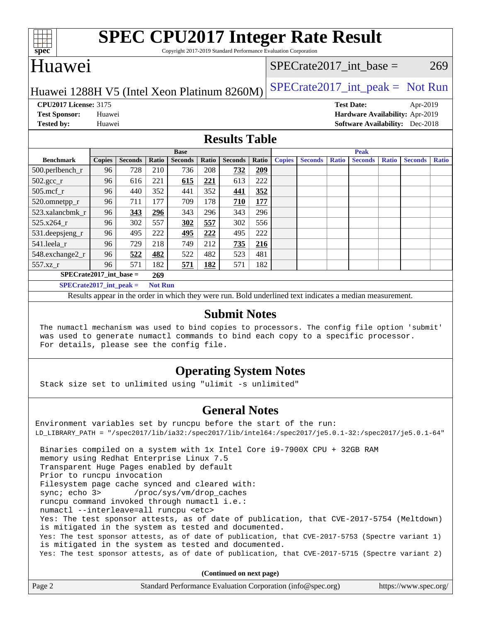| v.<br>t<br>ı |  |  |  |  |  |
|--------------|--|--|--|--|--|

# **[SPEC CPU2017 Integer Rate Result](http://www.spec.org/auto/cpu2017/Docs/result-fields.html#SPECCPU2017IntegerRateResult)**

Copyright 2017-2019 Standard Performance Evaluation Corporation

## Huawei

## SPECrate2017 int\_base =  $269$

## Huawei 1288H V5 (Intel Xeon Platinum 8260M) [SPECrate2017\\_int\\_peak =](http://www.spec.org/auto/cpu2017/Docs/result-fields.html#SPECrate2017intpeak) Not Run

**[CPU2017 License:](http://www.spec.org/auto/cpu2017/Docs/result-fields.html#CPU2017License)** 3175 **[Test Date:](http://www.spec.org/auto/cpu2017/Docs/result-fields.html#TestDate)** Apr-2019

**[Test Sponsor:](http://www.spec.org/auto/cpu2017/Docs/result-fields.html#TestSponsor)** Huawei **[Hardware Availability:](http://www.spec.org/auto/cpu2017/Docs/result-fields.html#HardwareAvailability)** Apr-2019 **[Tested by:](http://www.spec.org/auto/cpu2017/Docs/result-fields.html#Testedby)** Huawei **[Software Availability:](http://www.spec.org/auto/cpu2017/Docs/result-fields.html#SoftwareAvailability)** Dec-2018

## **[Results Table](http://www.spec.org/auto/cpu2017/Docs/result-fields.html#ResultsTable)**

|                             | <b>Base</b>   |                |                |                |       | <b>Peak</b>    |       |               |                |              |                |              |                |              |
|-----------------------------|---------------|----------------|----------------|----------------|-------|----------------|-------|---------------|----------------|--------------|----------------|--------------|----------------|--------------|
| <b>Benchmark</b>            | <b>Copies</b> | <b>Seconds</b> | Ratio          | <b>Seconds</b> | Ratio | <b>Seconds</b> | Ratio | <b>Copies</b> | <b>Seconds</b> | <b>Ratio</b> | <b>Seconds</b> | <b>Ratio</b> | <b>Seconds</b> | <b>Ratio</b> |
| 500.perlbench_r             | 96            | 728            | 210            | 736            | 208   | 732            | 209   |               |                |              |                |              |                |              |
| $502.\text{gcc}$ _r         | 96            | 616            | 221            | 615            | 221   | 613            | 222   |               |                |              |                |              |                |              |
| $505$ .mcf r                | 96            | 440            | 352            | 441            | 352   | 441            | 352   |               |                |              |                |              |                |              |
| 520.omnetpp_r               | 96            | 711            | 177            | 709            | 178   | <b>710</b>     | 177   |               |                |              |                |              |                |              |
| 523.xalancbmk r             | 96            | 343            | 296            | 343            | 296   | 343            | 296   |               |                |              |                |              |                |              |
| 525.x264 r                  | 96            | 302            | 557            | 302            | 557   | 302            | 556   |               |                |              |                |              |                |              |
| 531.deepsjeng_r             | 96            | 495            | 222            | 495            | 222   | 495            | 222   |               |                |              |                |              |                |              |
| 541.leela r                 | 96            | 729            | 218            | 749            | 212   | 735            | 216   |               |                |              |                |              |                |              |
| 548.exchange2 r             | 96            | 522            | 482            | 522            | 482   | 523            | 481   |               |                |              |                |              |                |              |
| $557.xz$ _r                 | 96            | 571            | 182            | 571            | 182   | 571            | 182   |               |                |              |                |              |                |              |
| $SPECrate2017$ int base =   |               |                | 269            |                |       |                |       |               |                |              |                |              |                |              |
| $SPECrate2017\_int\_peak =$ |               |                | <b>Not Run</b> |                |       |                |       |               |                |              |                |              |                |              |

Results appear in the [order in which they were run](http://www.spec.org/auto/cpu2017/Docs/result-fields.html#RunOrder). Bold underlined text [indicates a median measurement](http://www.spec.org/auto/cpu2017/Docs/result-fields.html#Median).

## **[Submit Notes](http://www.spec.org/auto/cpu2017/Docs/result-fields.html#SubmitNotes)**

 The numactl mechanism was used to bind copies to processors. The config file option 'submit' was used to generate numactl commands to bind each copy to a specific processor. For details, please see the config file.

## **[Operating System Notes](http://www.spec.org/auto/cpu2017/Docs/result-fields.html#OperatingSystemNotes)**

Stack size set to unlimited using "ulimit -s unlimited"

## **[General Notes](http://www.spec.org/auto/cpu2017/Docs/result-fields.html#GeneralNotes)**

Environment variables set by runcpu before the start of the run: LD\_LIBRARY\_PATH = "/spec2017/lib/ia32:/spec2017/lib/intel64:/spec2017/je5.0.1-32:/spec2017/je5.0.1-64" Binaries compiled on a system with 1x Intel Core i9-7900X CPU + 32GB RAM memory using Redhat Enterprise Linux 7.5 Transparent Huge Pages enabled by default Prior to runcpu invocation Filesystem page cache synced and cleared with: sync; echo 3> /proc/sys/vm/drop\_caches runcpu command invoked through numactl i.e.: numactl --interleave=all runcpu <etc> Yes: The test sponsor attests, as of date of publication, that CVE-2017-5754 (Meltdown) is mitigated in the system as tested and documented. Yes: The test sponsor attests, as of date of publication, that CVE-2017-5753 (Spectre variant 1) is mitigated in the system as tested and documented. Yes: The test sponsor attests, as of date of publication, that CVE-2017-5715 (Spectre variant 2)

**(Continued on next page)**

|  | Page 2 | Standard Performance Evaluation Corporation (info@spec.org) | https://www.spec.org/ |
|--|--------|-------------------------------------------------------------|-----------------------|
|--|--------|-------------------------------------------------------------|-----------------------|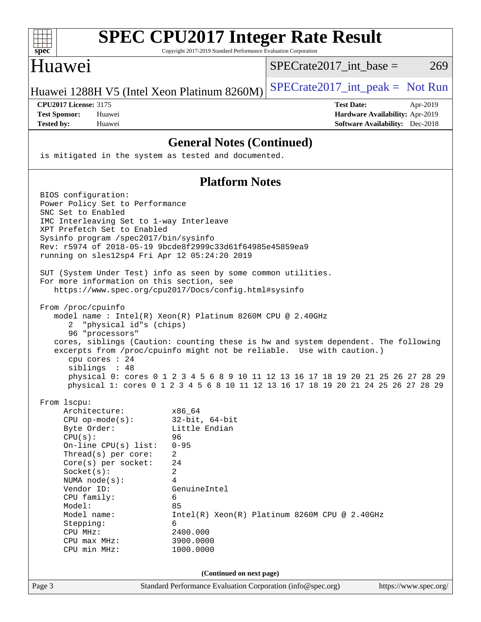| spec                                                                                                                                                                                                                                                                                                                                                                                                                                                                                                                                                                                                                                                                                                                                                                                                                                                                                                                | <b>SPEC CPU2017 Integer Rate Result</b><br>Copyright 2017-2019 Standard Performance Evaluation Corporation                                           |                                                                                                                                                                       |
|---------------------------------------------------------------------------------------------------------------------------------------------------------------------------------------------------------------------------------------------------------------------------------------------------------------------------------------------------------------------------------------------------------------------------------------------------------------------------------------------------------------------------------------------------------------------------------------------------------------------------------------------------------------------------------------------------------------------------------------------------------------------------------------------------------------------------------------------------------------------------------------------------------------------|------------------------------------------------------------------------------------------------------------------------------------------------------|-----------------------------------------------------------------------------------------------------------------------------------------------------------------------|
| Huawei                                                                                                                                                                                                                                                                                                                                                                                                                                                                                                                                                                                                                                                                                                                                                                                                                                                                                                              |                                                                                                                                                      | $SPECrate2017$ _int_base =<br>269                                                                                                                                     |
| Huawei 1288H V5 (Intel Xeon Platinum 8260M)                                                                                                                                                                                                                                                                                                                                                                                                                                                                                                                                                                                                                                                                                                                                                                                                                                                                         |                                                                                                                                                      | $SPECrate2017\_int\_peak = Not Run$                                                                                                                                   |
| <b>CPU2017 License: 3175</b><br><b>Test Sponsor:</b><br>Huawei<br><b>Tested by:</b><br>Huawei                                                                                                                                                                                                                                                                                                                                                                                                                                                                                                                                                                                                                                                                                                                                                                                                                       |                                                                                                                                                      | <b>Test Date:</b><br>Apr-2019<br>Hardware Availability: Apr-2019<br><b>Software Availability:</b> Dec-2018                                                            |
|                                                                                                                                                                                                                                                                                                                                                                                                                                                                                                                                                                                                                                                                                                                                                                                                                                                                                                                     | <b>General Notes (Continued)</b>                                                                                                                     |                                                                                                                                                                       |
| is mitigated in the system as tested and documented.                                                                                                                                                                                                                                                                                                                                                                                                                                                                                                                                                                                                                                                                                                                                                                                                                                                                |                                                                                                                                                      |                                                                                                                                                                       |
|                                                                                                                                                                                                                                                                                                                                                                                                                                                                                                                                                                                                                                                                                                                                                                                                                                                                                                                     | <b>Platform Notes</b>                                                                                                                                |                                                                                                                                                                       |
| BIOS configuration:<br>Power Policy Set to Performance<br>SNC Set to Enabled<br>IMC Interleaving Set to 1-way Interleave<br>XPT Prefetch Set to Enabled<br>Sysinfo program /spec2017/bin/sysinfo<br>Rev: r5974 of 2018-05-19 9bcde8f2999c33d61f64985e45859ea9<br>running on sles12sp4 Fri Apr 12 05:24:20 2019<br>SUT (System Under Test) info as seen by some common utilities.<br>For more information on this section, see<br>https://www.spec.org/cpu2017/Docs/config.html#sysinfo<br>From /proc/cpuinfo<br>model name : Intel(R) Xeon(R) Platinum 8260M CPU @ 2.40GHz<br>"physical id"s (chips)<br>2<br>96 "processors"<br>cores, siblings (Caution: counting these is hw and system dependent. The following<br>excerpts from /proc/cpuinfo might not be reliable. Use with caution.)<br>cpu cores $: 24$<br>siblings : 48<br>From lscpu:<br>Architecture:<br>$CPU$ op-mode( $s$ ):<br>Byte Order:<br>CPU(s): | x86_64<br>$32$ -bit, $64$ -bit<br>Little Endian<br>96                                                                                                | physical 0: cores 0 1 2 3 4 5 6 8 9 10 11 12 13 16 17 18 19 20 21 25 26 27 28 29<br>physical 1: cores 0 1 2 3 4 5 6 8 10 11 12 13 16 17 18 19 20 21 24 25 26 27 28 29 |
| On-line CPU(s) list:<br>Thread(s) per core:<br>Core(s) per socket:<br>Socket(s):<br>NUMA node(s):<br>Vendor ID:<br>CPU family:<br>Model:<br>Model name:<br>Stepping:<br>CPU MHz:<br>CPU max MHz:<br>CPU min MHz:                                                                                                                                                                                                                                                                                                                                                                                                                                                                                                                                                                                                                                                                                                    | $0 - 95$<br>2<br>24<br>2<br>4<br>GenuineIntel<br>6<br>85<br>Intel(R) Xeon(R) Platinum 8260M CPU @ 2.40GHz<br>6<br>2400.000<br>3900.0000<br>1000.0000 |                                                                                                                                                                       |
|                                                                                                                                                                                                                                                                                                                                                                                                                                                                                                                                                                                                                                                                                                                                                                                                                                                                                                                     | (Continued on next page)                                                                                                                             |                                                                                                                                                                       |
| Page 3                                                                                                                                                                                                                                                                                                                                                                                                                                                                                                                                                                                                                                                                                                                                                                                                                                                                                                              | Standard Performance Evaluation Corporation (info@spec.org)                                                                                          | https://www.spec.org/                                                                                                                                                 |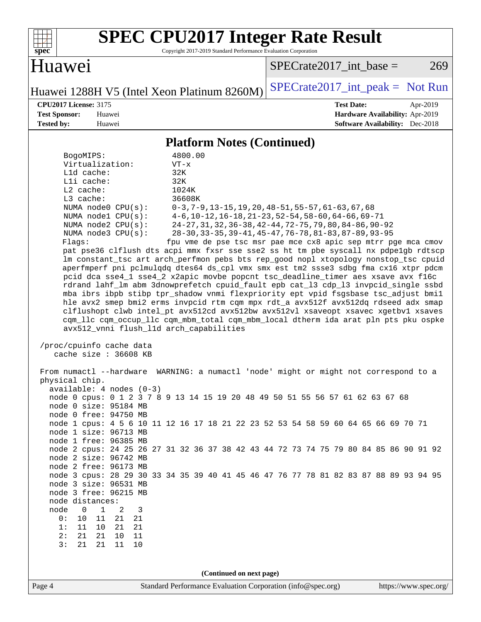

# **[SPEC CPU2017 Integer Rate Result](http://www.spec.org/auto/cpu2017/Docs/result-fields.html#SPECCPU2017IntegerRateResult)**

Copyright 2017-2019 Standard Performance Evaluation Corporation

Huawei

 $SPECTate2017\_int\_base = 269$ 

Huawei 1288H V5 (Intel Xeon Platinum 8260M) SPECrate  $2017$  int peak = Not Run

**[CPU2017 License:](http://www.spec.org/auto/cpu2017/Docs/result-fields.html#CPU2017License)** 3175 **[Test Date:](http://www.spec.org/auto/cpu2017/Docs/result-fields.html#TestDate)** Apr-2019 **[Test Sponsor:](http://www.spec.org/auto/cpu2017/Docs/result-fields.html#TestSponsor)** Huawei **[Hardware Availability:](http://www.spec.org/auto/cpu2017/Docs/result-fields.html#HardwareAvailability)** Apr-2019 **[Tested by:](http://www.spec.org/auto/cpu2017/Docs/result-fields.html#Testedby)** Huawei **[Software Availability:](http://www.spec.org/auto/cpu2017/Docs/result-fields.html#SoftwareAvailability)** Dec-2018

### **[Platform Notes \(Continued\)](http://www.spec.org/auto/cpu2017/Docs/result-fields.html#PlatformNotes)**

|                                                | (Continued on next page)                                                                                                                                                 |  |  |  |  |  |
|------------------------------------------------|--------------------------------------------------------------------------------------------------------------------------------------------------------------------------|--|--|--|--|--|
|                                                |                                                                                                                                                                          |  |  |  |  |  |
|                                                |                                                                                                                                                                          |  |  |  |  |  |
| 21<br>3:<br>21<br>11<br>10                     |                                                                                                                                                                          |  |  |  |  |  |
| 2:<br>21<br>21<br>10<br>11                     |                                                                                                                                                                          |  |  |  |  |  |
| 1:<br>21<br>11<br>10<br>21                     |                                                                                                                                                                          |  |  |  |  |  |
| $11\,$<br>0:<br>10<br>21<br>21                 |                                                                                                                                                                          |  |  |  |  |  |
| 0<br>1<br>2<br>3<br>node                       |                                                                                                                                                                          |  |  |  |  |  |
| node distances:                                |                                                                                                                                                                          |  |  |  |  |  |
| node 3 size: 96531 MB<br>node 3 free: 96215 MB |                                                                                                                                                                          |  |  |  |  |  |
|                                                | node 3 cpus: 28 29 30 33 34 35 39 40 41 45 46 47 76 77 78 81 82 83 87 88 89 93 94 95                                                                                     |  |  |  |  |  |
| node 2 free: 96173 MB                          |                                                                                                                                                                          |  |  |  |  |  |
| node 2 size: 96742 MB                          |                                                                                                                                                                          |  |  |  |  |  |
|                                                | node 2 cpus: 24 25 26 27 31 32 36 37 38 42 43 44 72 73 74 75 79 80 84 85 86 90 91 92                                                                                     |  |  |  |  |  |
| node 1 free: 96385 MB                          |                                                                                                                                                                          |  |  |  |  |  |
| node 1 size: 96713 MB                          |                                                                                                                                                                          |  |  |  |  |  |
|                                                | node 1 cpus: 4 5 6 10 11 12 16 17 18 21 22 23 52 53 54 58 59 60 64 65 66 69 70 71                                                                                        |  |  |  |  |  |
| node 0 free: 94750 MB                          |                                                                                                                                                                          |  |  |  |  |  |
| node 0 size: 95184 MB                          |                                                                                                                                                                          |  |  |  |  |  |
|                                                | node 0 cpus: 0 1 2 3 7 8 9 13 14 15 19 20 48 49 50 51 55 56 57 61 62 63 67 68                                                                                            |  |  |  |  |  |
| $available: 4 nodes (0-3)$                     |                                                                                                                                                                          |  |  |  |  |  |
| physical chip.                                 |                                                                                                                                                                          |  |  |  |  |  |
|                                                | From numactl --hardware WARNING: a numactl 'node' might or might not correspond to a                                                                                     |  |  |  |  |  |
| cache size : 36608 KB                          |                                                                                                                                                                          |  |  |  |  |  |
| /proc/cpuinfo cache data                       |                                                                                                                                                                          |  |  |  |  |  |
| avx512_vnni flush_l1d arch_capabilities        | cqm_llc cqm_occup_llc cqm_mbm_total cqm_mbm_local dtherm ida arat pln pts pku ospke                                                                                      |  |  |  |  |  |
|                                                | clflushopt clwb intel_pt avx512cd avx512bw avx512vl xsaveopt xsavec xgetbvl xsaves                                                                                       |  |  |  |  |  |
|                                                | hle avx2 smep bmi2 erms invpcid rtm cqm mpx rdt_a avx512f avx512dq rdseed adx smap                                                                                       |  |  |  |  |  |
|                                                | rdrand lahf_lm abm 3dnowprefetch cpuid_fault epb cat_13 cdp_13 invpcid_single ssbd<br>mba ibrs ibpb stibp tpr_shadow vnmi flexpriority ept vpid fsgsbase tsc_adjust bmil |  |  |  |  |  |
|                                                | pcid dca sse4_1 sse4_2 x2apic movbe popcnt tsc_deadline_timer aes xsave avx f16c                                                                                         |  |  |  |  |  |
|                                                | aperfmperf pni pclmulqdq dtes64 ds_cpl vmx smx est tm2 ssse3 sdbg fma cx16 xtpr pdcm                                                                                     |  |  |  |  |  |
|                                                | lm constant_tsc art arch_perfmon pebs bts rep_good nopl xtopology nonstop_tsc cpuid                                                                                      |  |  |  |  |  |
|                                                | pat pse36 clflush dts acpi mmx fxsr sse sse2 ss ht tm pbe syscall nx pdpelgb rdtscp                                                                                      |  |  |  |  |  |
| Flags:                                         | fpu vme de pse tsc msr pae mce cx8 apic sep mtrr pge mca cmov                                                                                                            |  |  |  |  |  |
| NUMA $node3$ $CPU(s)$ :                        | 28-30, 33-35, 39-41, 45-47, 76-78, 81-83, 87-89, 93-95                                                                                                                   |  |  |  |  |  |
| NUMA $node2$ $CPU(s)$ :                        | 24-27, 31, 32, 36-38, 42-44, 72-75, 79, 80, 84-86, 90-92                                                                                                                 |  |  |  |  |  |
| NUMA nodel $CPU(s):$                           | $4-6$ , 10-12, 16-18, 21-23, 52-54, 58-60, 64-66, 69-71                                                                                                                  |  |  |  |  |  |
| NUMA node0 CPU(s):                             | $0-3, 7-9, 13-15, 19, 20, 48-51, 55-57, 61-63, 67, 68$                                                                                                                   |  |  |  |  |  |
| L3 cache:                                      | 36608K                                                                                                                                                                   |  |  |  |  |  |
| $L2$ cache:                                    | 32K<br>1024K                                                                                                                                                             |  |  |  |  |  |
| L1d cache:<br>Lli cache:                       | 32K                                                                                                                                                                      |  |  |  |  |  |
|                                                |                                                                                                                                                                          |  |  |  |  |  |
|                                                |                                                                                                                                                                          |  |  |  |  |  |
| BogoMIPS:<br>Virtualization:                   | 4800.00<br>$VT - x$                                                                                                                                                      |  |  |  |  |  |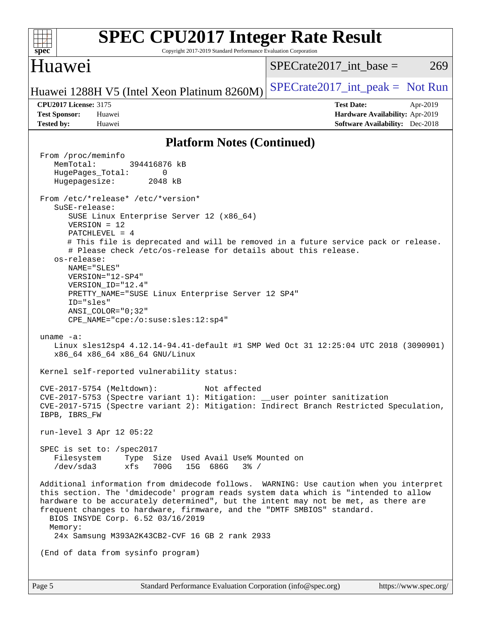| <b>SPEC CPU2017 Integer Rate Result</b><br>spec<br>Copyright 2017-2019 Standard Performance Evaluation Corporation                                                                                                                                                                                                                                                                                                                                                                                                                                                                                                                                                                                                                                                                                                                                                                                                                                                                                                                                                                                       |                                                                                                            |
|----------------------------------------------------------------------------------------------------------------------------------------------------------------------------------------------------------------------------------------------------------------------------------------------------------------------------------------------------------------------------------------------------------------------------------------------------------------------------------------------------------------------------------------------------------------------------------------------------------------------------------------------------------------------------------------------------------------------------------------------------------------------------------------------------------------------------------------------------------------------------------------------------------------------------------------------------------------------------------------------------------------------------------------------------------------------------------------------------------|------------------------------------------------------------------------------------------------------------|
| Huawei                                                                                                                                                                                                                                                                                                                                                                                                                                                                                                                                                                                                                                                                                                                                                                                                                                                                                                                                                                                                                                                                                                   | $SPECrate2017\_int\_base =$<br>269                                                                         |
| Huawei 1288H V5 (Intel Xeon Platinum 8260M)                                                                                                                                                                                                                                                                                                                                                                                                                                                                                                                                                                                                                                                                                                                                                                                                                                                                                                                                                                                                                                                              | $SPECrate2017\_int\_peak = Not Run$                                                                        |
| <b>CPU2017 License: 3175</b><br><b>Test Sponsor:</b><br>Huawei<br><b>Tested by:</b><br>Huawei                                                                                                                                                                                                                                                                                                                                                                                                                                                                                                                                                                                                                                                                                                                                                                                                                                                                                                                                                                                                            | <b>Test Date:</b><br>Apr-2019<br>Hardware Availability: Apr-2019<br><b>Software Availability:</b> Dec-2018 |
| <b>Platform Notes (Continued)</b>                                                                                                                                                                                                                                                                                                                                                                                                                                                                                                                                                                                                                                                                                                                                                                                                                                                                                                                                                                                                                                                                        |                                                                                                            |
| From /proc/meminfo<br>MemTotal:<br>394416876 kB<br>HugePages_Total:<br>0<br>Hugepagesize:<br>2048 kB<br>From /etc/*release* /etc/*version*<br>SuSE-release:<br>SUSE Linux Enterprise Server 12 (x86_64)<br>$VERSION = 12$<br>$PATCHLEVEL = 4$<br># This file is deprecated and will be removed in a future service pack or release.<br># Please check /etc/os-release for details about this release.<br>os-release:<br>NAME="SLES"<br>VERSION="12-SP4"<br>VERSION_ID="12.4"<br>PRETTY_NAME="SUSE Linux Enterprise Server 12 SP4"<br>ID="sles"<br>$ANSI\_COLOR = "0;32"$<br>$CPE\_NAME = "cpe://o:suse: sles:12:sp4"$<br>uname $-a$ :<br>Linux sles12sp4 4.12.14-94.41-default #1 SMP Wed Oct 31 12:25:04 UTC 2018 (3090901)<br>x86_64 x86_64 x86_64 GNU/Linux<br>Kernel self-reported vulnerability status:<br>CVE-2017-5754 (Meltdown): Not affected<br>CVE-2017-5753 (Spectre variant 1): Mitigation: __user pointer sanitization<br>CVE-2017-5715 (Spectre variant 2): Mitigation: Indirect Branch Restricted Speculation,<br>IBPB, IBRS_FW<br>run-level 3 Apr 12 05:22<br>SPEC is set to: /spec2017 |                                                                                                            |
| Filesystem Type Size Used Avail Use% Mounted on<br>/dev/sda3 xfs 700G 15G 686G<br>$3\frac{6}{9}$ /                                                                                                                                                                                                                                                                                                                                                                                                                                                                                                                                                                                                                                                                                                                                                                                                                                                                                                                                                                                                       |                                                                                                            |
| Additional information from dmidecode follows. WARNING: Use caution when you interpret<br>this section. The 'dmidecode' program reads system data which is "intended to allow<br>hardware to be accurately determined", but the intent may not be met, as there are<br>frequent changes to hardware, firmware, and the "DMTF SMBIOS" standard.<br>BIOS INSYDE Corp. 6.52 03/16/2019<br>Memory:<br>24x Samsung M393A2K43CB2-CVF 16 GB 2 rank 2933                                                                                                                                                                                                                                                                                                                                                                                                                                                                                                                                                                                                                                                         |                                                                                                            |
| (End of data from sysinfo program)                                                                                                                                                                                                                                                                                                                                                                                                                                                                                                                                                                                                                                                                                                                                                                                                                                                                                                                                                                                                                                                                       |                                                                                                            |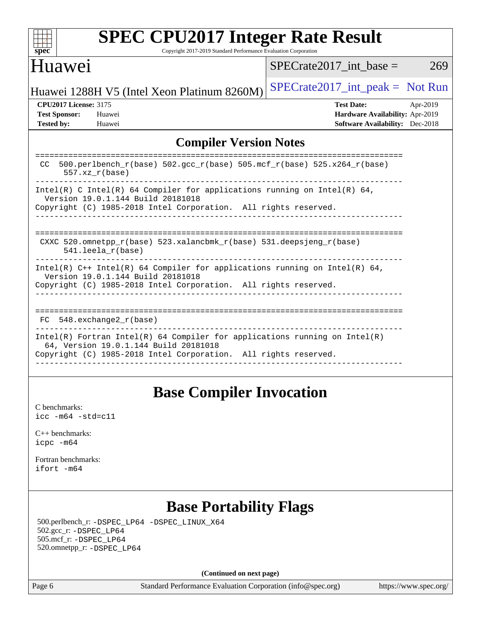| <b>SPEC CPU2017 Integer Rate Result</b><br>Copyright 2017-2019 Standard Performance Evaluation Corporation<br>spec <sup>®</sup>                                                          |                                                                                                     |
|------------------------------------------------------------------------------------------------------------------------------------------------------------------------------------------|-----------------------------------------------------------------------------------------------------|
| Huawei                                                                                                                                                                                   | 269<br>SPECrate2017 int base $=$                                                                    |
| Huawei 1288H V5 (Intel Xeon Platinum 8260M)                                                                                                                                              | $SPECrate2017\_int\_peak = Not Run$                                                                 |
| <b>CPU2017 License: 3175</b><br><b>Test Sponsor:</b><br>Huawei<br><b>Tested by:</b><br>Huawei                                                                                            | <b>Test Date:</b><br>Apr-2019<br>Hardware Availability: Apr-2019<br>Software Availability: Dec-2018 |
| <b>Compiler Version Notes</b>                                                                                                                                                            |                                                                                                     |
| 500.perlbench_r(base) 502.gcc_r(base) 505.mcf_r(base) 525.x264_r(base)<br>CC.<br>$557.xx$ $r(base)$                                                                                      |                                                                                                     |
| Intel(R) C Intel(R) 64 Compiler for applications running on Intel(R) 64,<br>Version 19.0.1.144 Build 20181018<br>Copyright (C) 1985-2018 Intel Corporation. All rights reserved.         |                                                                                                     |
| CXXC 520.omnetpp_r(base) 523.xalancbmk_r(base) 531.deepsjeng_r(base)<br>$541.$ leela $r(base)$                                                                                           |                                                                                                     |
| Intel(R) $C++$ Intel(R) 64 Compiler for applications running on Intel(R) 64,<br>Version 19.0.1.144 Build 20181018<br>Copyright (C) 1985-2018 Intel Corporation. All rights reserved.     |                                                                                                     |
| $548$ . exchange $2r$ (base)<br>FC                                                                                                                                                       |                                                                                                     |
| $Intel(R)$ Fortran Intel(R) 64 Compiler for applications running on Intel(R)<br>64, Version 19.0.1.144 Build 20181018<br>Copyright (C) 1985-2018 Intel Corporation. All rights reserved. |                                                                                                     |
|                                                                                                                                                                                          |                                                                                                     |

## **[Base Compiler Invocation](http://www.spec.org/auto/cpu2017/Docs/result-fields.html#BaseCompilerInvocation)**

[C benchmarks](http://www.spec.org/auto/cpu2017/Docs/result-fields.html#Cbenchmarks): [icc -m64 -std=c11](http://www.spec.org/cpu2017/results/res2019q2/cpu2017-20190428-12575.flags.html#user_CCbase_intel_icc_64bit_c11_33ee0cdaae7deeeab2a9725423ba97205ce30f63b9926c2519791662299b76a0318f32ddfffdc46587804de3178b4f9328c46fa7c2b0cd779d7a61945c91cd35)

[C++ benchmarks:](http://www.spec.org/auto/cpu2017/Docs/result-fields.html#CXXbenchmarks) [icpc -m64](http://www.spec.org/cpu2017/results/res2019q2/cpu2017-20190428-12575.flags.html#user_CXXbase_intel_icpc_64bit_4ecb2543ae3f1412ef961e0650ca070fec7b7afdcd6ed48761b84423119d1bf6bdf5cad15b44d48e7256388bc77273b966e5eb805aefd121eb22e9299b2ec9d9)

[Fortran benchmarks](http://www.spec.org/auto/cpu2017/Docs/result-fields.html#Fortranbenchmarks): [ifort -m64](http://www.spec.org/cpu2017/results/res2019q2/cpu2017-20190428-12575.flags.html#user_FCbase_intel_ifort_64bit_24f2bb282fbaeffd6157abe4f878425411749daecae9a33200eee2bee2fe76f3b89351d69a8130dd5949958ce389cf37ff59a95e7a40d588e8d3a57e0c3fd751)

## **[Base Portability Flags](http://www.spec.org/auto/cpu2017/Docs/result-fields.html#BasePortabilityFlags)**

 500.perlbench\_r: [-DSPEC\\_LP64](http://www.spec.org/cpu2017/results/res2019q2/cpu2017-20190428-12575.flags.html#b500.perlbench_r_basePORTABILITY_DSPEC_LP64) [-DSPEC\\_LINUX\\_X64](http://www.spec.org/cpu2017/results/res2019q2/cpu2017-20190428-12575.flags.html#b500.perlbench_r_baseCPORTABILITY_DSPEC_LINUX_X64) 502.gcc\_r: [-DSPEC\\_LP64](http://www.spec.org/cpu2017/results/res2019q2/cpu2017-20190428-12575.flags.html#suite_basePORTABILITY502_gcc_r_DSPEC_LP64) 505.mcf\_r: [-DSPEC\\_LP64](http://www.spec.org/cpu2017/results/res2019q2/cpu2017-20190428-12575.flags.html#suite_basePORTABILITY505_mcf_r_DSPEC_LP64) 520.omnetpp\_r: [-DSPEC\\_LP64](http://www.spec.org/cpu2017/results/res2019q2/cpu2017-20190428-12575.flags.html#suite_basePORTABILITY520_omnetpp_r_DSPEC_LP64)

**(Continued on next page)**

Page 6 Standard Performance Evaluation Corporation [\(info@spec.org\)](mailto:info@spec.org) <https://www.spec.org/>